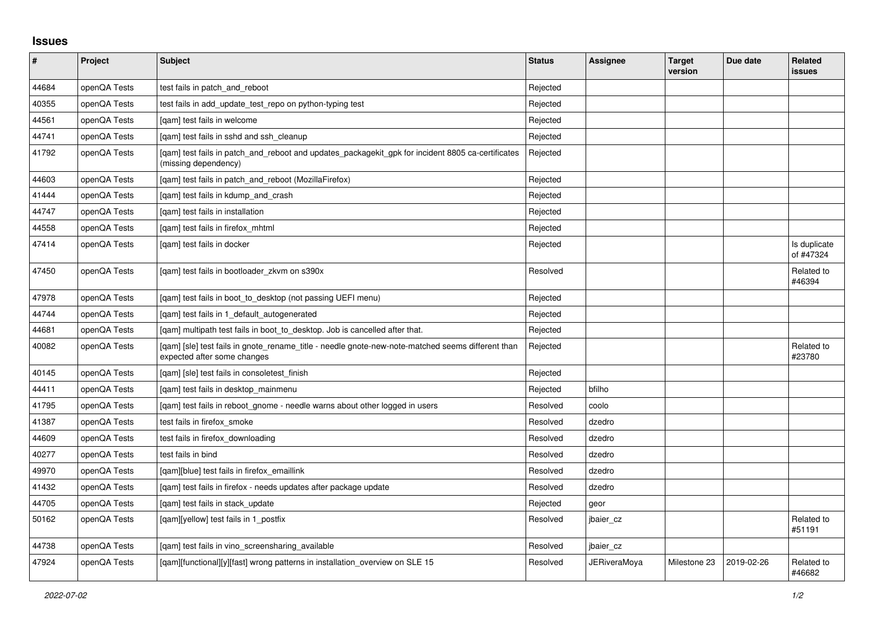## **Issues**

| #     | Project      | Subject                                                                                                                          | <b>Status</b> | Assignee            | <b>Target</b><br>version | Due date   | <b>Related</b><br><b>issues</b> |
|-------|--------------|----------------------------------------------------------------------------------------------------------------------------------|---------------|---------------------|--------------------------|------------|---------------------------------|
| 44684 | openQA Tests | test fails in patch and reboot                                                                                                   | Rejected      |                     |                          |            |                                 |
| 40355 | openQA Tests | test fails in add_update_test_repo on python-typing test                                                                         | Rejected      |                     |                          |            |                                 |
| 44561 | openQA Tests | [gam] test fails in welcome                                                                                                      | Rejected      |                     |                          |            |                                 |
| 44741 | openQA Tests | [gam] test fails in sshd and ssh cleanup                                                                                         | Rejected      |                     |                          |            |                                 |
| 41792 | openQA Tests | [qam] test fails in patch_and_reboot and updates_packagekit_gpk for incident 8805 ca-certificates<br>(missing dependency)        | Rejected      |                     |                          |            |                                 |
| 44603 | openQA Tests | [gam] test fails in patch and reboot (MozillaFirefox)                                                                            | Rejected      |                     |                          |            |                                 |
| 41444 | openQA Tests | [gam] test fails in kdump and crash                                                                                              | Rejected      |                     |                          |            |                                 |
| 44747 | openQA Tests | [gam] test fails in installation                                                                                                 | Rejected      |                     |                          |            |                                 |
| 44558 | openQA Tests | [gam] test fails in firefox mhtml                                                                                                | Rejected      |                     |                          |            |                                 |
| 47414 | openQA Tests | [gam] test fails in docker                                                                                                       | Rejected      |                     |                          |            | Is duplicate<br>of #47324       |
| 47450 | openQA Tests | [qam] test fails in bootloader_zkvm on s390x                                                                                     | Resolved      |                     |                          |            | Related to<br>#46394            |
| 47978 | openQA Tests | [gam] test fails in boot to desktop (not passing UEFI menu)                                                                      | Rejected      |                     |                          |            |                                 |
| 44744 | openQA Tests | [gam] test fails in 1 default autogenerated                                                                                      | Rejected      |                     |                          |            |                                 |
| 44681 | openQA Tests | [gam] multipath test fails in boot to desktop. Job is cancelled after that.                                                      | Rejected      |                     |                          |            |                                 |
| 40082 | openQA Tests | [gam] [sle] test fails in gnote rename title - needle gnote-new-note-matched seems different than<br>expected after some changes | Rejected      |                     |                          |            | Related to<br>#23780            |
| 40145 | openQA Tests | [gam] [sle] test fails in consoletest finish                                                                                     | Rejected      |                     |                          |            |                                 |
| 44411 | openQA Tests | [qam] test fails in desktop_mainmenu                                                                                             | Rejected      | bfilho              |                          |            |                                 |
| 41795 | openQA Tests | [gam] test fails in reboot gnome - needle warns about other logged in users                                                      | Resolved      | coolo               |                          |            |                                 |
| 41387 | openQA Tests | test fails in firefox smoke                                                                                                      | Resolved      | dzedro              |                          |            |                                 |
| 44609 | openQA Tests | test fails in firefox_downloading                                                                                                | Resolved      | dzedro              |                          |            |                                 |
| 40277 | openQA Tests | test fails in bind                                                                                                               | Resolved      | dzedro              |                          |            |                                 |
| 49970 | openQA Tests | [gam][blue] test fails in firefox emaillink                                                                                      | Resolved      | dzedro              |                          |            |                                 |
| 41432 | openQA Tests | [qam] test fails in firefox - needs updates after package update                                                                 | Resolved      | dzedro              |                          |            |                                 |
| 44705 | openQA Tests | [gam] test fails in stack update                                                                                                 | Rejected      | geor                |                          |            |                                 |
| 50162 | openQA Tests | [gam][yellow] test fails in 1 postfix                                                                                            | Resolved      | jbaier cz           |                          |            | Related to<br>#51191            |
| 44738 | openQA Tests | [qam] test fails in vino_screensharing_available                                                                                 | Resolved      | jbaier_cz           |                          |            |                                 |
| 47924 | openQA Tests | [qam][functional][y][fast] wrong patterns in installation_overview on SLE 15                                                     | Resolved      | <b>JERiveraMoya</b> | Milestone 23             | 2019-02-26 | Related to<br>#46682            |